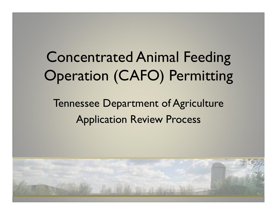# Concentrated Animal Feeding Operation (CAFO) Permitting

#### Tennessee Department of Agriculture Application Review Process

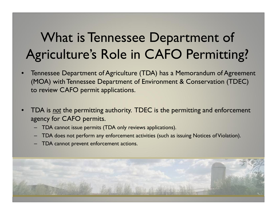## What is Tennessee Department of Agriculture's Role in CAFO Permitting?

- • Tennessee Department of Agriculture (TDA) has a Memorandum of Agreement (MOA) with Tennessee Department of Environment & Conservation (TDEC) to review CAFO permit applications.
- • TDA is *not* the permitting authority. TDEC is the permitting and enforcement agency for CAFO permits.
	- TDA cannot issue permits (TDA only reviews applications).
	- TDA does not perform any enforcement activities (such as issuing Notices of Violation).
	- TDA cannot prevent enforcement actions.

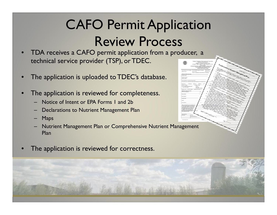# CAFO Permit Application Review Process

- • TDA receives a CAFO permit application from a producer, a technical service provider (TSP), or TDEC.
- •The application is uploaded to TDEC's database.
- • The application is reviewed for completeness.
	- Notice of Intent or EPA Forms 1 and 2b
	- –Declarations to Nutrient Management Plan
	- Maps
	- Nutrient Management Plan or Comprehensive Nutrient Management **Plan**
- •The application is reviewed for correctness.

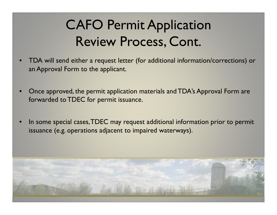## CAFO Permit Application Review Process, Cont.

- • TDA will send either a request letter (for additional information/corrections) or an Approval Form to the applicant.
- • Once approved, the permit application materials and TDA's Approval Form are forwarded to TDEC for permit issuance.
- • In some special cases, TDEC may request additional information prior to permit issuance (e.g. operations adjacent to impaired waterways).

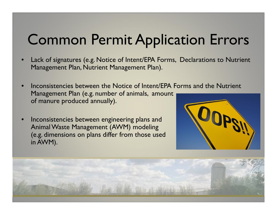# Common Permit Application Errors

- • Lack of signatures (e.g. Notice of Intent/EPA Forms, Declarations to Nutrient Management Plan, Nutrient Management Plan).
- • Inconsistencies between the Notice of Intent/EPA Forms and the Nutrient Management Plan (e.g. number of animals, amount of manure produced annually).
- • Inconsistencies between engineering plans and Animal Waste Management (AWM) modeling (e.g. dimensions on plans differ from those used in AWM).



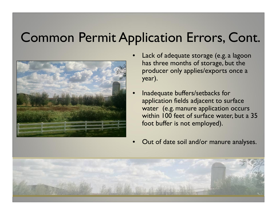#### Common Permit Application Errors, Cont.



- • Lack of adequate storage (e.g. a lagoon has three months of storage, but the producer only applies/exports once a year).
- • Inadequate buffers/setbacks for application fields adjacent to surface water (e.g. manure application occurs within 100 feet of surface water, but a 35 foot buffer is not employed).
- •Out of date soil and/or manure analyses.

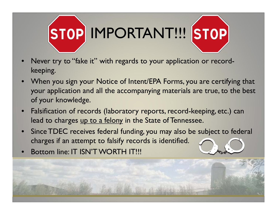

- • Never try to "fake it" with regards to your application or recordkeeping.
- • When you sign your Notice of Intent/EPA Forms, you are certifying that your application and all the accompanying materials are true, to the best of your knowledge.
- • Falsification of records (laboratory reports, record-keeping, etc.) can lead to charges up to a felony in the State of Tennessee.
- • Since TDEC receives federal funding, you may also be subject to federal charges if an attempt to falsify records is identified.
- •Bottom line: IT ISN'T WORTH IT!!!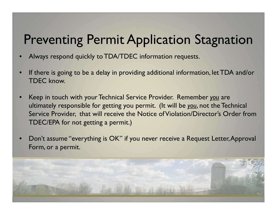#### Preventing Permit Application Stagnation

- •Always respond quickly to TDA/TDEC information requests.
- • If there is going to be a delay in providing additional information, let TDA and/or TDEC know.
- • Keep in touch with your Technical Service Provider. Remember *you* are ultimately responsible for getting you permit. (It will be *you*, not the Technical Service Provider, that will receive the Notice of Violation/Director's Order from TDEC/EPA for not getting a permit.)
- • Don't assume "everything is OK" if you never receive a Request Letter, Approval Form, or a permit.

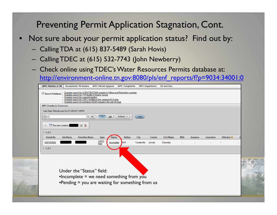#### Preventing Permit Application Stagnation, Cont.

- • Not sure about your permit application status? Find out by:
	- Calling TDA at (615) 837-5489 (Sarah Hovis)
	- Calling TDEC at (615) 532-7743 (John Newberry)
	- Check online using TDEC's Water Resources Permits database at:

http://environment-online.tn.gov:8080/pls/enf\_reports/f?p=9034:34001:0

| <b>WPC Permits in Tennessee</b>                                                            |                   | • Example search for a permit number | · Example search for CAFO facilities in the Jackson EFO area<br>• Example search for individual ARAPs issued in the last 30 days | ◯ Search Guidance : Example search for CONSTRUCTION permits in Wilson and Rutherford counties           |              |         |                 |     |                 |                   |           |  |
|--------------------------------------------------------------------------------------------|-------------------|--------------------------------------|----------------------------------------------------------------------------------------------------------------------------------|---------------------------------------------------------------------------------------------------------|--------------|---------|-----------------|-----|-----------------|-------------------|-----------|--|
| Last Data Refresh was Oct-21-2014 01:20PM<br>$\left( 0, \right)$<br>$\Box$<br>$1 - 1$ of 1 | Row text contains | $\sqrt{2}$                           | Go<br>E.<br>$\mathbb{I}$ nfl                                                                                                     | Actions $\equiv$                                                                                        | Help         |         |                 |     |                 |                   |           |  |
| <b>Permit No</b>                                                                           | <b>Site Name</b>  | <b>Permittee Name</b>                | <b>Type</b>                                                                                                                      | Rating<br><b>Status</b>                                                                                 | City         | County  | <b>EFO Name</b> | MS4 | <b>Issuance</b> | <b>Expiration</b> | Effective |  |
| SOPC00285                                                                                  |                   |                                      | CAFO-<br>NoD                                                                                                                     | Incomplete<br>N/A                                                                                       | Fayetteville | Lincoln | Columbia        |     |                 |                   |           |  |
| $1 - 1$ of 1                                                                               |                   |                                      |                                                                                                                                  |                                                                                                         |              |         |                 |     |                 |                   |           |  |
|                                                                                            |                   | Under the "Status" field:            |                                                                                                                                  | $\bullet$ Incomplete = we need something from you<br>•Pending $=$ you are waiting for something from us |              |         |                 |     |                 |                   |           |  |